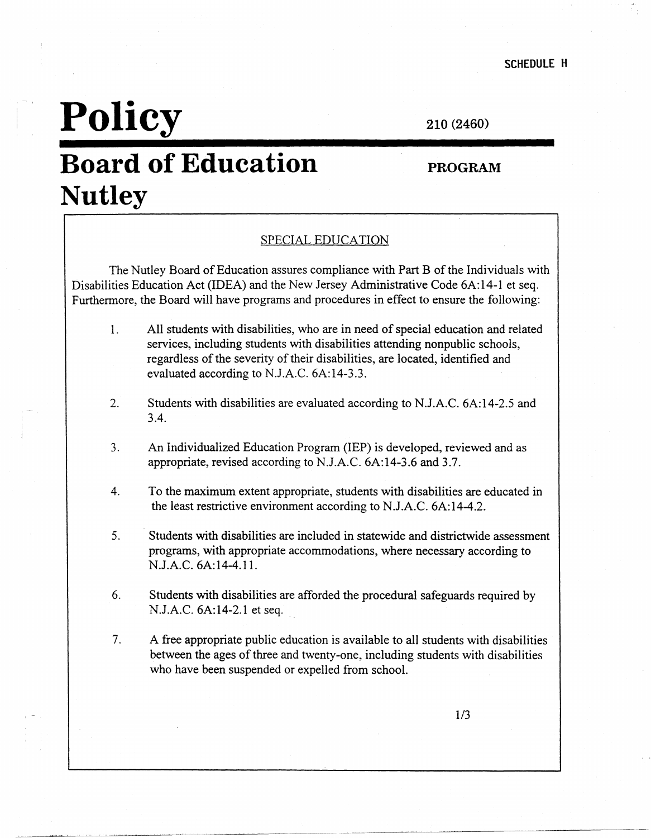## **Policy**

210 (2460)

## **Board of Education Nutley**

#### **PROGRAM**

#### SPECIAL EDUCATION

The Nutley Board of Education assures compliance with Part B of the Individuals with Disabilities Education Act (IDEA) and the New Jersey Administrative Code 6A:14-l et seq. Furthermore, the Board will have programs and procedures in effect to ensure the following:

- 1. All students with disabilities, who are in need of special education and related services, including students with disabilities attending nonpublic schools, regardless of the severity of their disabilities, are located, identified and evaluated according to N.J.A.C. 6A:14-3.3.
- 2. Students with disabilities are evaluated according to N.J.A.C. 6A:14-2.5 and 3.4.
- 3. An Individualized Education Program (IEP) is developed, reviewed and as appropriate, revised according to N.J.A.C. 6A:14-3.6 and 3.7.
- 4. To the maximum extent appropriate, students with disabilities are educated in the least restrictive environment according to N.J.A.C. 6A:14-4.2.
- 5. Students with disabilities are included in statewide and districtwide assessment programs, with appropriate accommodations, where necessary according to N.J.A.C. 6A:14-4.l 1.
- 6. Students with disabilities are afforded the procedural safeguards required by N.J.A.C. 6A:14-2.1 et seq.
- 7. A free appropriate public education is available to all students with disabilities between the ages of three and twenty-one, including students with disabilities who have been suspended or expelled from school.

1/3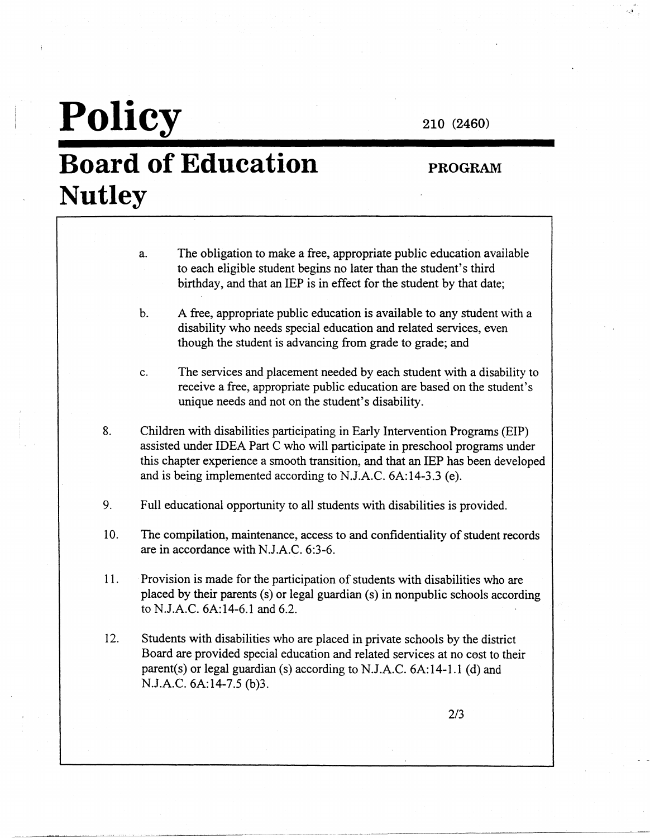# **Policy**

### **Board of Education Nutley**

**210 (2460)** 

### **PROGRAM**

- a. The obligation to make a free, appropriate public education available to each eligible student begins no later than the student's third birthday, and that an IEP is in effect for the student by that date;
- b. A free, appropriate public education is available to any student with a disability who needs special education and related services, even though the student is advancing from grade to grade; and
- c. The services and placement needed by each student with a disability to receive a free, appropriate public education are based on the student's unique needs and not on the student's disability.
- 8. Children with disabilities participating in Early Intervention Programs (EIP) assisted under IDEA Part C who will participate in preschool programs under this chapter experience a smooth transition, and that an IEP has been developed and is being implemented according to N.J.A.C. 6A:14-3.3 (e).
- 9. Full educational opportunity to all students with disabilities is provided.
- 10. The compilation, maintenance, access to and confidentiality of student records are in accordance with N.J.A.C. 6:3-6.
- 11. Provision is made for the participation of students with disabilities who are placed by their parents (s) or legal guardian (s) in nonpublic schools according to N.J.A.C. 6A:14-6.l and 6.2.
- 12. Students with disabilities who are placed in private schools by the district Board are provided special education and related services at no cost to their parent(s) or legal guardian (s) according to N.J.A.C. 6A:14-l.1 (d) and N.J.A.C. 6A:14-7.5 (b)3.

2/3